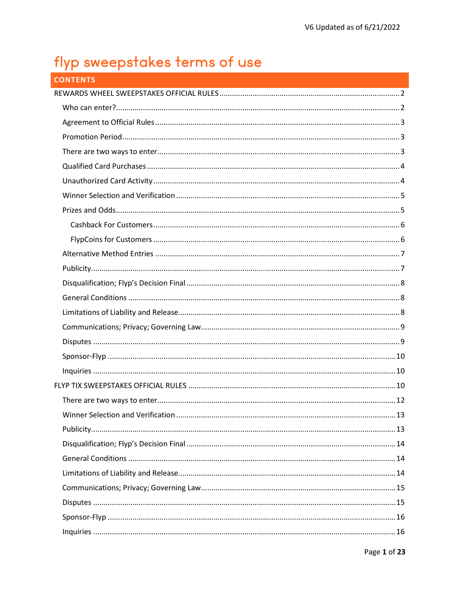# flyp sweepstakes terms of use

| <b>CONTENTS</b> |  |
|-----------------|--|
|                 |  |
|                 |  |
|                 |  |
|                 |  |
|                 |  |
|                 |  |
|                 |  |
|                 |  |
|                 |  |
|                 |  |
|                 |  |
|                 |  |
|                 |  |
|                 |  |
|                 |  |
|                 |  |
|                 |  |
|                 |  |
|                 |  |
|                 |  |
|                 |  |
|                 |  |
|                 |  |
|                 |  |
|                 |  |
|                 |  |
|                 |  |
|                 |  |
|                 |  |
|                 |  |
|                 |  |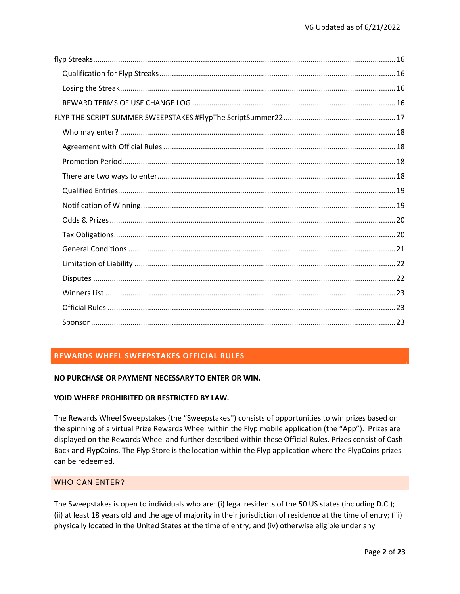# REWARDS WHEEL SWEEPSTAKES OFFICIAL RULES

## NO PURCHASE OR PAYMENT NECESSARY TO ENTER OR WIN.

#### VOID WHERE PROHIBITED OR RESTRICTED BY LAW.

The Rewards Wheel Sweepstakes (the "Sweepstakes'') consists of opportunities to win prizes based on the spinning of a virtual Prize Rewards Wheel within the Flyp mobile application (the "App"). Prizes are displayed on the Rewards Wheel and further described within these Official Rules. Prizes consist of Cash Back and FlypCoins. The Flyp Store is the location within the Flyp application where the FlypCoins prizes can be redeemed.

# WHO CAN ENTER?

The Sweepstakes is open to individuals who are: (i) legal residents of the 50 US states (including D.C.); (ii) at least 18 years old and the age of majority in their jurisdiction of residence at the time of entry; (iii) physically located in the United States at the time of entry; and (iv) otherwise eligible under any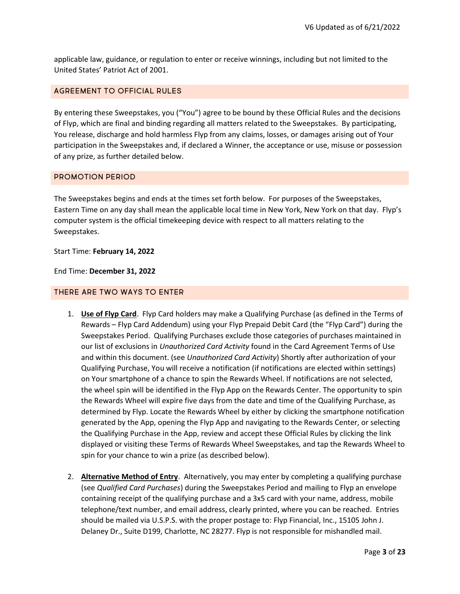applicable law, guidance, or regulation to enter or receive winnings, including but not limited to the United States' Patriot Act of 2001.

## AGREEMENT TO OFFICIAL RULES

By entering these Sweepstakes, you ("You") agree to be bound by these Official Rules and the decisions of Flyp, which are final and binding regarding all matters related to the Sweepstakes. By participating, You release, discharge and hold harmless Flyp from any claims, losses, or damages arising out of Your participation in the Sweepstakes and, if declared a Winner, the acceptance or use, misuse or possession of any prize, as further detailed below.

## PROMOTION PERIOD

The Sweepstakes begins and ends at the times set forth below. For purposes of the Sweepstakes, Eastern Time on any day shall mean the applicable local time in New York, New York on that day. Flyp's computer system is the official timekeeping device with respect to all matters relating to the Sweepstakes.

Start Time: February 14, 2022

End Time: December 31, 2022

#### THERE ARE TWO WAYS TO ENTER

- 1. Use of Flyp Card. Flyp Card holders may make a Qualifying Purchase (as defined in the Terms of Rewards – Flyp Card Addendum) using your Flyp Prepaid Debit Card (the "Flyp Card") during the Sweepstakes Period. Qualifying Purchases exclude those categories of purchases maintained in our list of exclusions in Unauthorized Card Activity found in the Card Agreement Terms of Use and within this document. (see Unauthorized Card Activity) Shortly after authorization of your Qualifying Purchase, You will receive a notification (if notifications are elected within settings) on Your smartphone of a chance to spin the Rewards Wheel. If notifications are not selected, the wheel spin will be identified in the Flyp App on the Rewards Center. The opportunity to spin the Rewards Wheel will expire five days from the date and time of the Qualifying Purchase, as determined by Flyp. Locate the Rewards Wheel by either by clicking the smartphone notification generated by the App, opening the Flyp App and navigating to the Rewards Center, or selecting the Qualifying Purchase in the App, review and accept these Official Rules by clicking the link displayed or visiting these Terms of Rewards Wheel Sweepstakes, and tap the Rewards Wheel to spin for your chance to win a prize (as described below).
- 2. Alternative Method of Entry. Alternatively, you may enter by completing a qualifying purchase (see Qualified Card Purchases) during the Sweepstakes Period and mailing to Flyp an envelope containing receipt of the qualifying purchase and a 3x5 card with your name, address, mobile telephone/text number, and email address, clearly printed, where you can be reached. Entries should be mailed via U.S.P.S. with the proper postage to: Flyp Financial, Inc., 15105 John J. Delaney Dr., Suite D199, Charlotte, NC 28277. Flyp is not responsible for mishandled mail.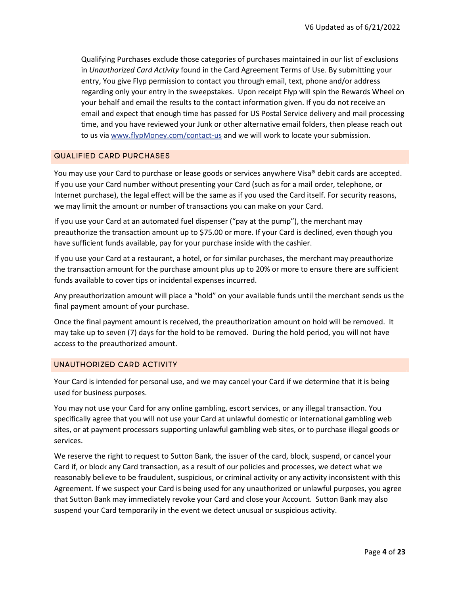Qualifying Purchases exclude those categories of purchases maintained in our list of exclusions in Unauthorized Card Activity found in the Card Agreement Terms of Use. By submitting your entry, You give Flyp permission to contact you through email, text, phone and/or address regarding only your entry in the sweepstakes. Upon receipt Flyp will spin the Rewards Wheel on your behalf and email the results to the contact information given. If you do not receive an email and expect that enough time has passed for US Postal Service delivery and mail processing time, and you have reviewed your Junk or other alternative email folders, then please reach out to us via www.flypMoney.com/contact-us and we will work to locate your submission.

#### QUALIFIED CARD PURCHASES

You may use your Card to purchase or lease goods or services anywhere Visa® debit cards are accepted. If you use your Card number without presenting your Card (such as for a mail order, telephone, or Internet purchase), the legal effect will be the same as if you used the Card itself. For security reasons, we may limit the amount or number of transactions you can make on your Card.

If you use your Card at an automated fuel dispenser ("pay at the pump"), the merchant may preauthorize the transaction amount up to \$75.00 or more. If your Card is declined, even though you have sufficient funds available, pay for your purchase inside with the cashier.

If you use your Card at a restaurant, a hotel, or for similar purchases, the merchant may preauthorize the transaction amount for the purchase amount plus up to 20% or more to ensure there are sufficient funds available to cover tips or incidental expenses incurred.

Any preauthorization amount will place a "hold" on your available funds until the merchant sends us the final payment amount of your purchase.

Once the final payment amount is received, the preauthorization amount on hold will be removed. It may take up to seven (7) days for the hold to be removed. During the hold period, you will not have access to the preauthorized amount.

#### UNAUTHORIZED CARD ACTIVITY

Your Card is intended for personal use, and we may cancel your Card if we determine that it is being used for business purposes.

You may not use your Card for any online gambling, escort services, or any illegal transaction. You specifically agree that you will not use your Card at unlawful domestic or international gambling web sites, or at payment processors supporting unlawful gambling web sites, or to purchase illegal goods or services.

We reserve the right to request to Sutton Bank, the issuer of the card, block, suspend, or cancel your Card if, or block any Card transaction, as a result of our policies and processes, we detect what we reasonably believe to be fraudulent, suspicious, or criminal activity or any activity inconsistent with this Agreement. If we suspect your Card is being used for any unauthorized or unlawful purposes, you agree that Sutton Bank may immediately revoke your Card and close your Account. Sutton Bank may also suspend your Card temporarily in the event we detect unusual or suspicious activity.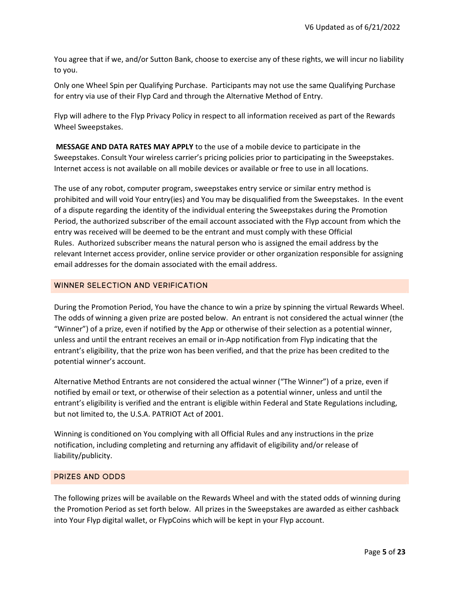You agree that if we, and/or Sutton Bank, choose to exercise any of these rights, we will incur no liability to you.

Only one Wheel Spin per Qualifying Purchase. Participants may not use the same Qualifying Purchase for entry via use of their Flyp Card and through the Alternative Method of Entry.

Flyp will adhere to the Flyp Privacy Policy in respect to all information received as part of the Rewards Wheel Sweepstakes.

 MESSAGE AND DATA RATES MAY APPLY to the use of a mobile device to participate in the Sweepstakes. Consult Your wireless carrier's pricing policies prior to participating in the Sweepstakes. Internet access is not available on all mobile devices or available or free to use in all locations.

The use of any robot, computer program, sweepstakes entry service or similar entry method is prohibited and will void Your entry(ies) and You may be disqualified from the Sweepstakes. In the event of a dispute regarding the identity of the individual entering the Sweepstakes during the Promotion Period, the authorized subscriber of the email account associated with the Flyp account from which the entry was received will be deemed to be the entrant and must comply with these Official Rules. Authorized subscriber means the natural person who is assigned the email address by the relevant Internet access provider, online service provider or other organization responsible for assigning email addresses for the domain associated with the email address.

## WINNER SELECTION AND VERIFICATION

During the Promotion Period, You have the chance to win a prize by spinning the virtual Rewards Wheel. The odds of winning a given prize are posted below. An entrant is not considered the actual winner (the "Winner") of a prize, even if notified by the App or otherwise of their selection as a potential winner, unless and until the entrant receives an email or in-App notification from Flyp indicating that the entrant's eligibility, that the prize won has been verified, and that the prize has been credited to the potential winner's account.

Alternative Method Entrants are not considered the actual winner ("The Winner") of a prize, even if notified by email or text, or otherwise of their selection as a potential winner, unless and until the entrant's eligibility is verified and the entrant is eligible within Federal and State Regulations including, but not limited to, the U.S.A. PATRIOT Act of 2001.

Winning is conditioned on You complying with all Official Rules and any instructions in the prize notification, including completing and returning any affidavit of eligibility and/or release of liability/publicity.

## PRIZES AND ODDS

The following prizes will be available on the Rewards Wheel and with the stated odds of winning during the Promotion Period as set forth below. All prizes in the Sweepstakes are awarded as either cashback into Your Flyp digital wallet, or FlypCoins which will be kept in your Flyp account.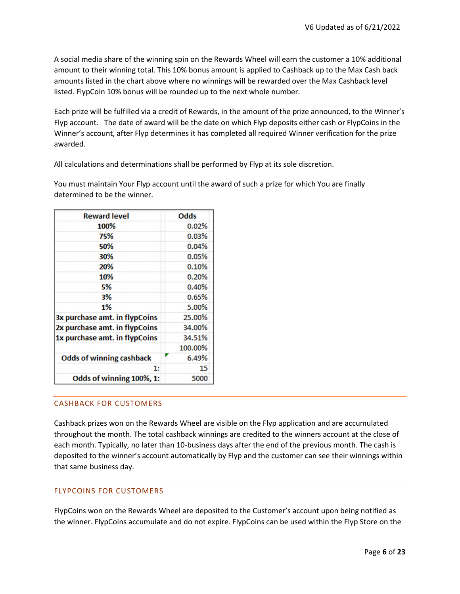A social media share of the winning spin on the Rewards Wheel will earn the customer a 10% additional amount to their winning total. This 10% bonus amount is applied to Cashback up to the Max Cash back amounts listed in the chart above where no winnings will be rewarded over the Max Cashback level listed. FlypCoin 10% bonus will be rounded up to the next whole number.

Each prize will be fulfilled via a credit of Rewards, in the amount of the prize announced, to the Winner's Flyp account. The date of award will be the date on which Flyp deposits either cash or FlypCoins in the Winner's account, after Flyp determines it has completed all required Winner verification for the prize awarded.

All calculations and determinations shall be performed by Flyp at its sole discretion.

You must maintain Your Flyp account until the award of such a prize for which You are finally determined to be the winner.

| <b>Reward level</b>             |  | <b>Odds</b> |  |
|---------------------------------|--|-------------|--|
| 100%                            |  | 0.02%       |  |
| 75%                             |  | 0.03%       |  |
| 50%                             |  | 0.04%       |  |
| 30%                             |  | 0.05%       |  |
| 20%                             |  | 0.10%       |  |
| 10%                             |  | 0.20%       |  |
| 5%                              |  | 0.40%       |  |
| 3%                              |  | 0.65%       |  |
| 1%                              |  | 5.00%       |  |
| 3x purchase amt. in flypCoins   |  | 25.00%      |  |
| 2x purchase amt. in flypCoins   |  | 34.00%      |  |
| 1x purchase amt. in flypCoins   |  | 34.51%      |  |
|                                 |  | 100.00%     |  |
| <b>Odds of winning cashback</b> |  | 6.49%       |  |
| 1:                              |  | 15          |  |
| Odds of winning 100%, 1:        |  | 5000        |  |

# CASHBACK FOR CUSTOMERS

Cashback prizes won on the Rewards Wheel are visible on the Flyp application and are accumulated throughout the month. The total cashback winnings are credited to the winners account at the close of each month. Typically, no later than 10-business days after the end of the previous month. The cash is deposited to the winner's account automatically by Flyp and the customer can see their winnings within that same business day.

# FLYPCOINS FOR CUSTOMERS

FlypCoins won on the Rewards Wheel are deposited to the Customer's account upon being notified as the winner. FlypCoins accumulate and do not expire. FlypCoins can be used within the Flyp Store on the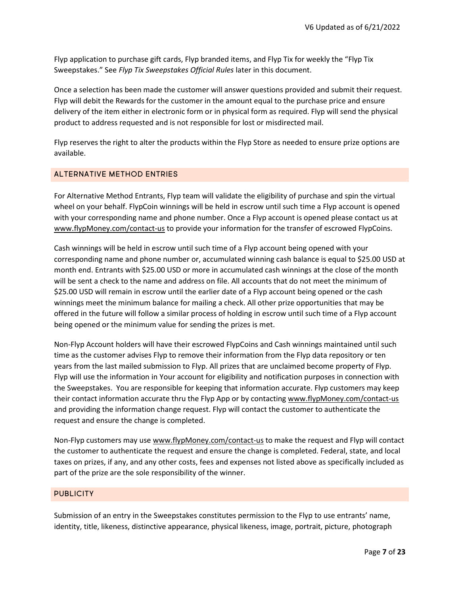Flyp application to purchase gift cards, Flyp branded items, and Flyp Tix for weekly the "Flyp Tix Sweepstakes." See Flyp Tix Sweepstakes Official Rules later in this document.

Once a selection has been made the customer will answer questions provided and submit their request. Flyp will debit the Rewards for the customer in the amount equal to the purchase price and ensure delivery of the item either in electronic form or in physical form as required. Flyp will send the physical product to address requested and is not responsible for lost or misdirected mail.

Flyp reserves the right to alter the products within the Flyp Store as needed to ensure prize options are available.

# ALTERNATIVE METHOD ENTRIES

For Alternative Method Entrants, Flyp team will validate the eligibility of purchase and spin the virtual wheel on your behalf. FlypCoin winnings will be held in escrow until such time a Flyp account is opened with your corresponding name and phone number. Once a Flyp account is opened please contact us at www.flypMoney.com/contact-us to provide your information for the transfer of escrowed FlypCoins.

Cash winnings will be held in escrow until such time of a Flyp account being opened with your corresponding name and phone number or, accumulated winning cash balance is equal to \$25.00 USD at month end. Entrants with \$25.00 USD or more in accumulated cash winnings at the close of the month will be sent a check to the name and address on file. All accounts that do not meet the minimum of \$25.00 USD will remain in escrow until the earlier date of a Flyp account being opened or the cash winnings meet the minimum balance for mailing a check. All other prize opportunities that may be offered in the future will follow a similar process of holding in escrow until such time of a Flyp account being opened or the minimum value for sending the prizes is met.

Non-Flyp Account holders will have their escrowed FlypCoins and Cash winnings maintained until such time as the customer advises Flyp to remove their information from the Flyp data repository or ten years from the last mailed submission to Flyp. All prizes that are unclaimed become property of Flyp. Flyp will use the information in Your account for eligibility and notification purposes in connection with the Sweepstakes. You are responsible for keeping that information accurate. Flyp customers may keep their contact information accurate thru the Flyp App or by contacting www.flypMoney.com/contact-us and providing the information change request. Flyp will contact the customer to authenticate the request and ensure the change is completed.

Non-Flyp customers may use www.flypMoney.com/contact-us to make the request and Flyp will contact the customer to authenticate the request and ensure the change is completed. Federal, state, and local taxes on prizes, if any, and any other costs, fees and expenses not listed above as specifically included as part of the prize are the sole responsibility of the winner.

#### **PUBLICITY**

Submission of an entry in the Sweepstakes constitutes permission to the Flyp to use entrants' name, identity, title, likeness, distinctive appearance, physical likeness, image, portrait, picture, photograph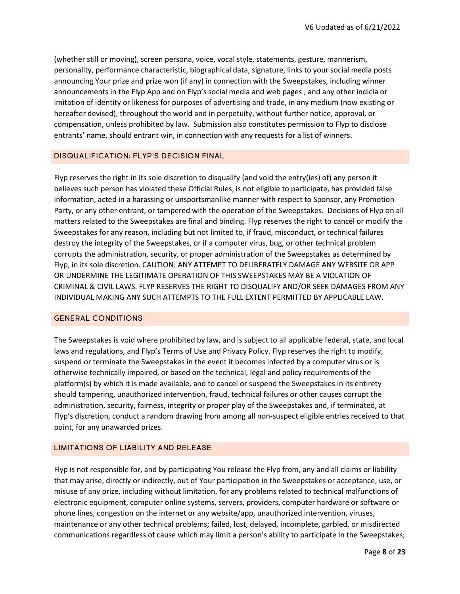(whether still or moving), screen persona, voice, vocal style, statements, gesture, mannerism, personality, performance characteristic, biographical data, signature, links to your social media posts announcing Your prize and prize won (if any) in connection with the Sweepstakes, including winner announcements in the Flyp App and on Flyp's social media and web pages , and any other indicia or imitation of identity or likeness for purposes of advertising and trade, in any medium (now existing or hereafter devised), throughout the world and in perpetuity, without further notice, approval, or compensation, unless prohibited by law. Submission also constitutes permission to Flyp to disclose entrants' name, should entrant win, in connection with any requests for a list of winners.

## DISQUALIFICATION; FLYP'S DECISION FINAL

Flyp reserves the right in its sole discretion to disqualify (and void the entry(ies) of) any person it believes such person has violated these Official Rules, is not eligible to participate, has provided false information, acted in a harassing or unsportsmanlike manner with respect to Sponsor, any Promotion Party, or any other entrant, or tampered with the operation of the Sweepstakes. Decisions of Flyp on all matters related to the Sweepstakes are final and binding. Flyp reserves the right to cancel or modify the Sweepstakes for any reason, including but not limited to, if fraud, misconduct, or technical failures destroy the integrity of the Sweepstakes, or if a computer virus, bug, or other technical problem corrupts the administration, security, or proper administration of the Sweepstakes as determined by Flyp, in its sole discretion. CAUTION: ANY ATTEMPT TO DELIBERATELY DAMAGE ANY WEBSITE OR APP OR UNDERMINE THE LEGITIMATE OPERATION OF THIS SWEEPSTAKES MAY BE A VIOLATION OF CRIMINAL & CIVIL LAWS. FLYP RESERVES THE RIGHT TO DISQUALIFY AND/OR SEEK DAMAGES FROM ANY INDIVIDUAL MAKING ANY SUCH ATTEMPTS TO THE FULL EXTENT PERMITTED BY APPLICABLE LAW.

#### GENERAL CONDITIONS

The Sweepstakes is void where prohibited by law, and is subject to all applicable federal, state, and local laws and regulations, and Flyp's Terms of Use and Privacy Policy. Flyp reserves the right to modify, suspend or terminate the Sweepstakes in the event it becomes infected by a computer virus or is otherwise technically impaired, or based on the technical, legal and policy requirements of the platform(s) by which it is made available, and to cancel or suspend the Sweepstakes in its entirety should tampering, unauthorized intervention, fraud, technical failures or other causes corrupt the administration, security, fairness, integrity or proper play of the Sweepstakes and, if terminated, at Flyp's discretion, conduct a random drawing from among all non-suspect eligible entries received to that point, for any unawarded prizes.

## LIMITATIONS OF LIABILITY AND RELEASE

Flyp is not responsible for, and by participating You release the Flyp from, any and all claims or liability that may arise, directly or indirectly, out of Your participation in the Sweepstakes or acceptance, use, or misuse of any prize, including without limitation, for any problems related to technical malfunctions of electronic equipment, computer online systems, servers, providers, computer hardware or software or phone lines, congestion on the internet or any website/app, unauthorized intervention, viruses, maintenance or any other technical problems; failed, lost, delayed, incomplete, garbled, or misdirected communications regardless of cause which may limit a person's ability to participate in the Sweepstakes;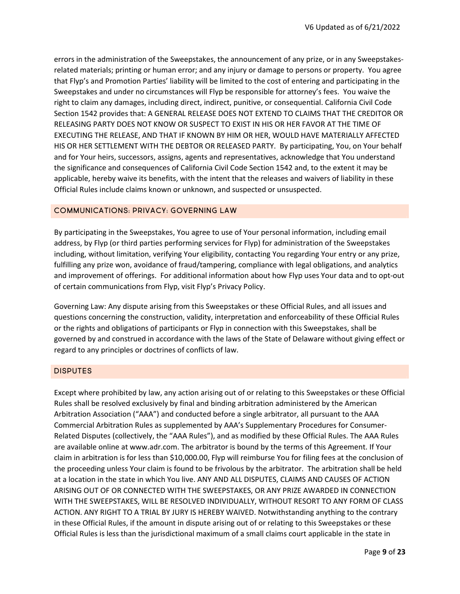errors in the administration of the Sweepstakes, the announcement of any prize, or in any Sweepstakesrelated materials; printing or human error; and any injury or damage to persons or property. You agree that Flyp's and Promotion Parties' liability will be limited to the cost of entering and participating in the Sweepstakes and under no circumstances will Flyp be responsible for attorney's fees. You waive the right to claim any damages, including direct, indirect, punitive, or consequential. California Civil Code Section 1542 provides that: A GENERAL RELEASE DOES NOT EXTEND TO CLAIMS THAT THE CREDITOR OR RELEASING PARTY DOES NOT KNOW OR SUSPECT TO EXIST IN HIS OR HER FAVOR AT THE TIME OF EXECUTING THE RELEASE, AND THAT IF KNOWN BY HIM OR HER, WOULD HAVE MATERIALLY AFFECTED HIS OR HER SETTLEMENT WITH THE DEBTOR OR RELEASED PARTY. By participating, You, on Your behalf and for Your heirs, successors, assigns, agents and representatives, acknowledge that You understand the significance and consequences of California Civil Code Section 1542 and, to the extent it may be applicable, hereby waive its benefits, with the intent that the releases and waivers of liability in these Official Rules include claims known or unknown, and suspected or unsuspected.

## COMMUNICATIONS; PRIVACY; GOVERNING LAW

By participating in the Sweepstakes, You agree to use of Your personal information, including email address, by Flyp (or third parties performing services for Flyp) for administration of the Sweepstakes including, without limitation, verifying Your eligibility, contacting You regarding Your entry or any prize, fulfilling any prize won, avoidance of fraud/tampering, compliance with legal obligations, and analytics and improvement of offerings. For additional information about how Flyp uses Your data and to opt-out of certain communications from Flyp, visit Flyp's Privacy Policy.

Governing Law: Any dispute arising from this Sweepstakes or these Official Rules, and all issues and questions concerning the construction, validity, interpretation and enforceability of these Official Rules or the rights and obligations of participants or Flyp in connection with this Sweepstakes, shall be governed by and construed in accordance with the laws of the State of Delaware without giving effect or regard to any principles or doctrines of conflicts of law.

#### **DISPUTES**

Except where prohibited by law, any action arising out of or relating to this Sweepstakes or these Official Rules shall be resolved exclusively by final and binding arbitration administered by the American Arbitration Association ("AAA") and conducted before a single arbitrator, all pursuant to the AAA Commercial Arbitration Rules as supplemented by AAA's Supplementary Procedures for Consumer-Related Disputes (collectively, the "AAA Rules"), and as modified by these Official Rules. The AAA Rules are available online at www.adr.com. The arbitrator is bound by the terms of this Agreement. If Your claim in arbitration is for less than \$10,000.00, Flyp will reimburse You for filing fees at the conclusion of the proceeding unless Your claim is found to be frivolous by the arbitrator. The arbitration shall be held at a location in the state in which You live. ANY AND ALL DISPUTES, CLAIMS AND CAUSES OF ACTION ARISING OUT OF OR CONNECTED WITH THE SWEEPSTAKES, OR ANY PRIZE AWARDED IN CONNECTION WITH THE SWEEPSTAKES, WILL BE RESOLVED INDIVIDUALLY, WITHOUT RESORT TO ANY FORM OF CLASS ACTION. ANY RIGHT TO A TRIAL BY JURY IS HEREBY WAIVED. Notwithstanding anything to the contrary in these Official Rules, if the amount in dispute arising out of or relating to this Sweepstakes or these Official Rules is less than the jurisdictional maximum of a small claims court applicable in the state in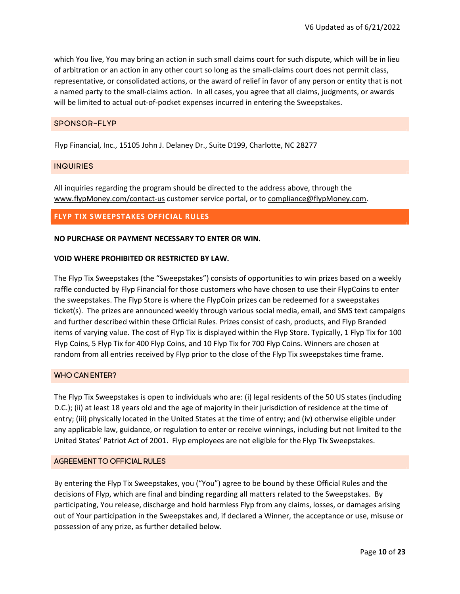which You live, You may bring an action in such small claims court for such dispute, which will be in lieu of arbitration or an action in any other court so long as the small-claims court does not permit class, representative, or consolidated actions, or the award of relief in favor of any person or entity that is not a named party to the small-claims action. In all cases, you agree that all claims, judgments, or awards will be limited to actual out-of-pocket expenses incurred in entering the Sweepstakes.

## SPONSOR-FLYP

Flyp Financial, Inc., 15105 John J. Delaney Dr., Suite D199, Charlotte, NC 28277

#### INQUIRIES

All inquiries regarding the program should be directed to the address above, through the www.flypMoney.com/contact-us customer service portal, or to compliance@flypMoney.com.

## FLYP TIX SWEEPSTAKES OFFICIAL RULES

#### NO PURCHASE OR PAYMENT NECESSARY TO ENTER OR WIN.

#### VOID WHERE PROHIBITED OR RESTRICTED BY LAW.

The Flyp Tix Sweepstakes (the "Sweepstakes") consists of opportunities to win prizes based on a weekly raffle conducted by Flyp Financial for those customers who have chosen to use their FlypCoins to enter the sweepstakes. The Flyp Store is where the FlypCoin prizes can be redeemed for a sweepstakes ticket(s). The prizes are announced weekly through various social media, email, and SMS text campaigns and further described within these Official Rules. Prizes consist of cash, products, and Flyp Branded items of varying value. The cost of Flyp Tix is displayed within the Flyp Store. Typically, 1 Flyp Tix for 100 Flyp Coins, 5 Flyp Tix for 400 Flyp Coins, and 10 Flyp Tix for 700 Flyp Coins. Winners are chosen at random from all entries received by Flyp prior to the close of the Flyp Tix sweepstakes time frame.

## WHO CAN ENTER?

The Flyp Tix Sweepstakes is open to individuals who are: (i) legal residents of the 50 US states (including D.C.); (ii) at least 18 years old and the age of majority in their jurisdiction of residence at the time of entry; (iii) physically located in the United States at the time of entry; and (iv) otherwise eligible under any applicable law, guidance, or regulation to enter or receive winnings, including but not limited to the United States' Patriot Act of 2001. Flyp employees are not eligible for the Flyp Tix Sweepstakes.

#### AGREEMENT TO OFFICIAL RULES

By entering the Flyp Tix Sweepstakes, you ("You") agree to be bound by these Official Rules and the decisions of Flyp, which are final and binding regarding all matters related to the Sweepstakes. By participating, You release, discharge and hold harmless Flyp from any claims, losses, or damages arising out of Your participation in the Sweepstakes and, if declared a Winner, the acceptance or use, misuse or possession of any prize, as further detailed below.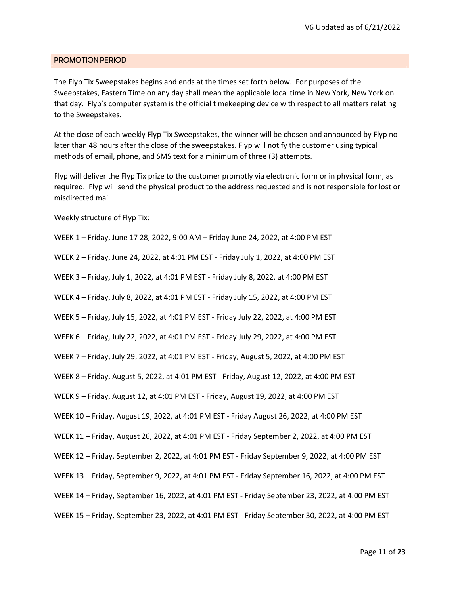#### PROMOTION PERIOD

The Flyp Tix Sweepstakes begins and ends at the times set forth below. For purposes of the Sweepstakes, Eastern Time on any day shall mean the applicable local time in New York, New York on that day. Flyp's computer system is the official timekeeping device with respect to all matters relating to the Sweepstakes.

At the close of each weekly Flyp Tix Sweepstakes, the winner will be chosen and announced by Flyp no later than 48 hours after the close of the sweepstakes. Flyp will notify the customer using typical methods of email, phone, and SMS text for a minimum of three (3) attempts.

Flyp will deliver the Flyp Tix prize to the customer promptly via electronic form or in physical form, as required. Flyp will send the physical product to the address requested and is not responsible for lost or misdirected mail.

Weekly structure of Flyp Tix:

WEEK 1 – Friday, June 17 28, 2022, 9:00 AM – Friday June 24, 2022, at 4:00 PM EST

WEEK 2 – Friday, June 24, 2022, at 4:01 PM EST - Friday July 1, 2022, at 4:00 PM EST

WEEK 3 – Friday, July 1, 2022, at 4:01 PM EST - Friday July 8, 2022, at 4:00 PM EST

WEEK 4 – Friday, July 8, 2022, at 4:01 PM EST - Friday July 15, 2022, at 4:00 PM EST

WEEK 5 – Friday, July 15, 2022, at 4:01 PM EST - Friday July 22, 2022, at 4:00 PM EST

WEEK 6 – Friday, July 22, 2022, at 4:01 PM EST - Friday July 29, 2022, at 4:00 PM EST

WEEK 7 – Friday, July 29, 2022, at 4:01 PM EST - Friday, August 5, 2022, at 4:00 PM EST

WEEK 8 – Friday, August 5, 2022, at 4:01 PM EST - Friday, August 12, 2022, at 4:00 PM EST

WEEK 9 – Friday, August 12, at 4:01 PM EST - Friday, August 19, 2022, at 4:00 PM EST

WEEK 10 – Friday, August 19, 2022, at 4:01 PM EST - Friday August 26, 2022, at 4:00 PM EST

WEEK 11 – Friday, August 26, 2022, at 4:01 PM EST - Friday September 2, 2022, at 4:00 PM EST

WEEK 12 – Friday, September 2, 2022, at 4:01 PM EST - Friday September 9, 2022, at 4:00 PM EST

WEEK 13 – Friday, September 9, 2022, at 4:01 PM EST - Friday September 16, 2022, at 4:00 PM EST

WEEK 14 – Friday, September 16, 2022, at 4:01 PM EST - Friday September 23, 2022, at 4:00 PM EST

WEEK 15 – Friday, September 23, 2022, at 4:01 PM EST - Friday September 30, 2022, at 4:00 PM EST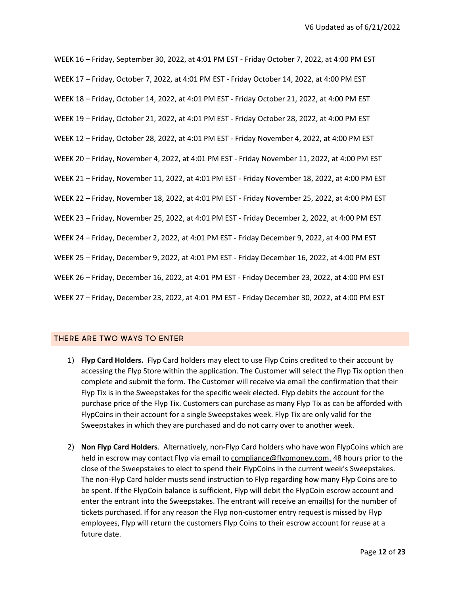WEEK 16 – Friday, September 30, 2022, at 4:01 PM EST - Friday October 7, 2022, at 4:00 PM EST WEEK 17 – Friday, October 7, 2022, at 4:01 PM EST - Friday October 14, 2022, at 4:00 PM EST WEEK 18 – Friday, October 14, 2022, at 4:01 PM EST - Friday October 21, 2022, at 4:00 PM EST WEEK 19 – Friday, October 21, 2022, at 4:01 PM EST - Friday October 28, 2022, at 4:00 PM EST WEEK 12 – Friday, October 28, 2022, at 4:01 PM EST - Friday November 4, 2022, at 4:00 PM EST WEEK 20 – Friday, November 4, 2022, at 4:01 PM EST - Friday November 11, 2022, at 4:00 PM EST WEEK 21 – Friday, November 11, 2022, at 4:01 PM EST - Friday November 18, 2022, at 4:00 PM EST WEEK 22 – Friday, November 18, 2022, at 4:01 PM EST - Friday November 25, 2022, at 4:00 PM EST WEEK 23 – Friday, November 25, 2022, at 4:01 PM EST - Friday December 2, 2022, at 4:00 PM EST WEEK 24 – Friday, December 2, 2022, at 4:01 PM EST - Friday December 9, 2022, at 4:00 PM EST WEEK 25 – Friday, December 9, 2022, at 4:01 PM EST - Friday December 16, 2022, at 4:00 PM EST WEEK 26 – Friday, December 16, 2022, at 4:01 PM EST - Friday December 23, 2022, at 4:00 PM EST WEEK 27 – Friday, December 23, 2022, at 4:01 PM EST - Friday December 30, 2022, at 4:00 PM EST

## THERE ARE TWO WAYS TO ENTER

- 1) Flyp Card Holders. Flyp Card holders may elect to use Flyp Coins credited to their account by accessing the Flyp Store within the application. The Customer will select the Flyp Tix option then complete and submit the form. The Customer will receive via email the confirmation that their Flyp Tix is in the Sweepstakes for the specific week elected. Flyp debits the account for the purchase price of the Flyp Tix. Customers can purchase as many Flyp Tix as can be afforded with FlypCoins in their account for a single Sweepstakes week. Flyp Tix are only valid for the Sweepstakes in which they are purchased and do not carry over to another week.
- 2) Non Flyp Card Holders. Alternatively, non-Flyp Card holders who have won FlypCoins which are held in escrow may contact Flyp via email to compliance@flypmoney.com, 48 hours prior to the close of the Sweepstakes to elect to spend their FlypCoins in the current week's Sweepstakes. The non-Flyp Card holder musts send instruction to Flyp regarding how many Flyp Coins are to be spent. If the FlypCoin balance is sufficient, Flyp will debit the FlypCoin escrow account and enter the entrant into the Sweepstakes. The entrant will receive an email(s) for the number of tickets purchased. If for any reason the Flyp non-customer entry request is missed by Flyp employees, Flyp will return the customers Flyp Coins to their escrow account for reuse at a future date.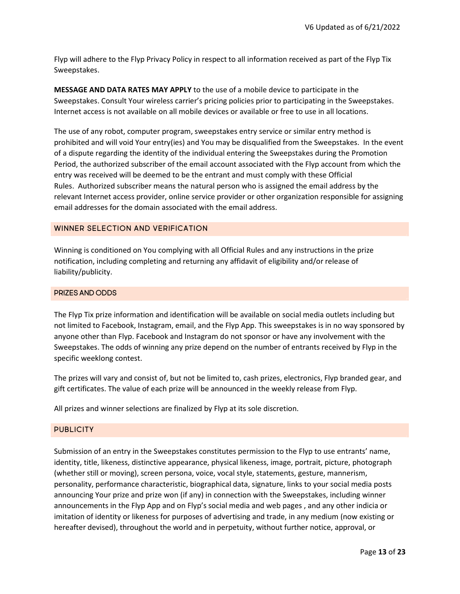Flyp will adhere to the Flyp Privacy Policy in respect to all information received as part of the Flyp Tix Sweepstakes.

MESSAGE AND DATA RATES MAY APPLY to the use of a mobile device to participate in the Sweepstakes. Consult Your wireless carrier's pricing policies prior to participating in the Sweepstakes. Internet access is not available on all mobile devices or available or free to use in all locations.

The use of any robot, computer program, sweepstakes entry service or similar entry method is prohibited and will void Your entry(ies) and You may be disqualified from the Sweepstakes. In the event of a dispute regarding the identity of the individual entering the Sweepstakes during the Promotion Period, the authorized subscriber of the email account associated with the Flyp account from which the entry was received will be deemed to be the entrant and must comply with these Official Rules. Authorized subscriber means the natural person who is assigned the email address by the relevant Internet access provider, online service provider or other organization responsible for assigning email addresses for the domain associated with the email address.

## WINNER SELECTION AND VERIFICATION

Winning is conditioned on You complying with all Official Rules and any instructions in the prize notification, including completing and returning any affidavit of eligibility and/or release of liability/publicity.

## PRIZES AND ODDS

The Flyp Tix prize information and identification will be available on social media outlets including but not limited to Facebook, Instagram, email, and the Flyp App. This sweepstakes is in no way sponsored by anyone other than Flyp. Facebook and Instagram do not sponsor or have any involvement with the Sweepstakes. The odds of winning any prize depend on the number of entrants received by Flyp in the specific weeklong contest.

The prizes will vary and consist of, but not be limited to, cash prizes, electronics, Flyp branded gear, and gift certificates. The value of each prize will be announced in the weekly release from Flyp.

All prizes and winner selections are finalized by Flyp at its sole discretion.

#### **PUBLICITY**

Submission of an entry in the Sweepstakes constitutes permission to the Flyp to use entrants' name, identity, title, likeness, distinctive appearance, physical likeness, image, portrait, picture, photograph (whether still or moving), screen persona, voice, vocal style, statements, gesture, mannerism, personality, performance characteristic, biographical data, signature, links to your social media posts announcing Your prize and prize won (if any) in connection with the Sweepstakes, including winner announcements in the Flyp App and on Flyp's social media and web pages , and any other indicia or imitation of identity or likeness for purposes of advertising and trade, in any medium (now existing or hereafter devised), throughout the world and in perpetuity, without further notice, approval, or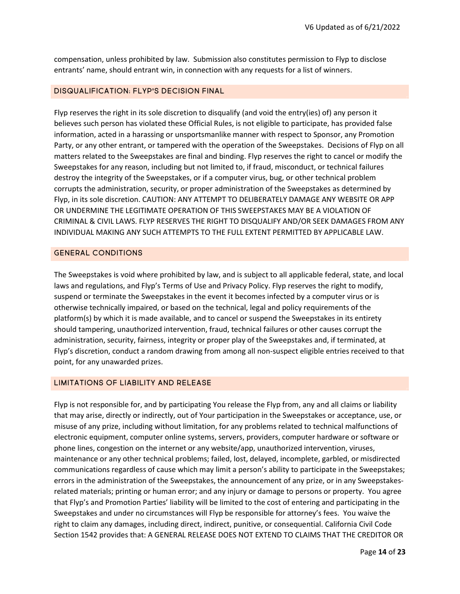compensation, unless prohibited by law. Submission also constitutes permission to Flyp to disclose entrants' name, should entrant win, in connection with any requests for a list of winners.

## DISQUALIFICATION; FLYP'S DECISION FINAL

Flyp reserves the right in its sole discretion to disqualify (and void the entry(ies) of) any person it believes such person has violated these Official Rules, is not eligible to participate, has provided false information, acted in a harassing or unsportsmanlike manner with respect to Sponsor, any Promotion Party, or any other entrant, or tampered with the operation of the Sweepstakes. Decisions of Flyp on all matters related to the Sweepstakes are final and binding. Flyp reserves the right to cancel or modify the Sweepstakes for any reason, including but not limited to, if fraud, misconduct, or technical failures destroy the integrity of the Sweepstakes, or if a computer virus, bug, or other technical problem corrupts the administration, security, or proper administration of the Sweepstakes as determined by Flyp, in its sole discretion. CAUTION: ANY ATTEMPT TO DELIBERATELY DAMAGE ANY WEBSITE OR APP OR UNDERMINE THE LEGITIMATE OPERATION OF THIS SWEEPSTAKES MAY BE A VIOLATION OF CRIMINAL & CIVIL LAWS. FLYP RESERVES THE RIGHT TO DISQUALIFY AND/OR SEEK DAMAGES FROM ANY INDIVIDUAL MAKING ANY SUCH ATTEMPTS TO THE FULL EXTENT PERMITTED BY APPLICABLE LAW.

#### GENERAL CONDITIONS

The Sweepstakes is void where prohibited by law, and is subject to all applicable federal, state, and local laws and regulations, and Flyp's Terms of Use and Privacy Policy. Flyp reserves the right to modify, suspend or terminate the Sweepstakes in the event it becomes infected by a computer virus or is otherwise technically impaired, or based on the technical, legal and policy requirements of the platform(s) by which it is made available, and to cancel or suspend the Sweepstakes in its entirety should tampering, unauthorized intervention, fraud, technical failures or other causes corrupt the administration, security, fairness, integrity or proper play of the Sweepstakes and, if terminated, at Flyp's discretion, conduct a random drawing from among all non-suspect eligible entries received to that point, for any unawarded prizes.

## LIMITATIONS OF LIABILITY AND RELEASE

Flyp is not responsible for, and by participating You release the Flyp from, any and all claims or liability that may arise, directly or indirectly, out of Your participation in the Sweepstakes or acceptance, use, or misuse of any prize, including without limitation, for any problems related to technical malfunctions of electronic equipment, computer online systems, servers, providers, computer hardware or software or phone lines, congestion on the internet or any website/app, unauthorized intervention, viruses, maintenance or any other technical problems; failed, lost, delayed, incomplete, garbled, or misdirected communications regardless of cause which may limit a person's ability to participate in the Sweepstakes; errors in the administration of the Sweepstakes, the announcement of any prize, or in any Sweepstakesrelated materials; printing or human error; and any injury or damage to persons or property. You agree that Flyp's and Promotion Parties' liability will be limited to the cost of entering and participating in the Sweepstakes and under no circumstances will Flyp be responsible for attorney's fees. You waive the right to claim any damages, including direct, indirect, punitive, or consequential. California Civil Code Section 1542 provides that: A GENERAL RELEASE DOES NOT EXTEND TO CLAIMS THAT THE CREDITOR OR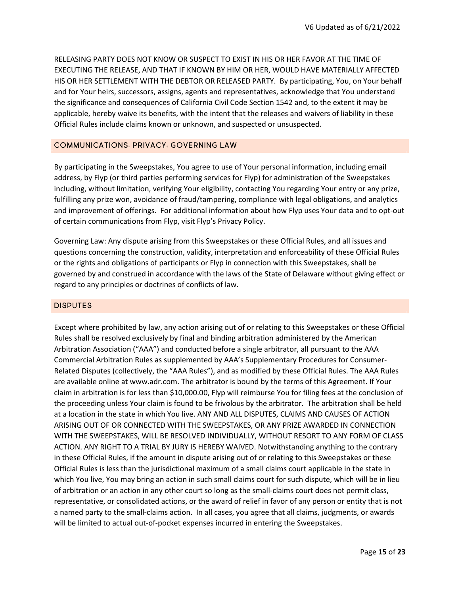RELEASING PARTY DOES NOT KNOW OR SUSPECT TO EXIST IN HIS OR HER FAVOR AT THE TIME OF EXECUTING THE RELEASE, AND THAT IF KNOWN BY HIM OR HER, WOULD HAVE MATERIALLY AFFECTED HIS OR HER SETTLEMENT WITH THE DEBTOR OR RELEASED PARTY. By participating, You, on Your behalf and for Your heirs, successors, assigns, agents and representatives, acknowledge that You understand the significance and consequences of California Civil Code Section 1542 and, to the extent it may be applicable, hereby waive its benefits, with the intent that the releases and waivers of liability in these Official Rules include claims known or unknown, and suspected or unsuspected.

## COMMUNICATIONS; PRIVACY; GOVERNING LAW

By participating in the Sweepstakes, You agree to use of Your personal information, including email address, by Flyp (or third parties performing services for Flyp) for administration of the Sweepstakes including, without limitation, verifying Your eligibility, contacting You regarding Your entry or any prize, fulfilling any prize won, avoidance of fraud/tampering, compliance with legal obligations, and analytics and improvement of offerings. For additional information about how Flyp uses Your data and to opt-out of certain communications from Flyp, visit Flyp's Privacy Policy.

Governing Law: Any dispute arising from this Sweepstakes or these Official Rules, and all issues and questions concerning the construction, validity, interpretation and enforceability of these Official Rules or the rights and obligations of participants or Flyp in connection with this Sweepstakes, shall be governed by and construed in accordance with the laws of the State of Delaware without giving effect or regard to any principles or doctrines of conflicts of law.

## DISPUTES

Except where prohibited by law, any action arising out of or relating to this Sweepstakes or these Official Rules shall be resolved exclusively by final and binding arbitration administered by the American Arbitration Association ("AAA") and conducted before a single arbitrator, all pursuant to the AAA Commercial Arbitration Rules as supplemented by AAA's Supplementary Procedures for Consumer-Related Disputes (collectively, the "AAA Rules"), and as modified by these Official Rules. The AAA Rules are available online at www.adr.com. The arbitrator is bound by the terms of this Agreement. If Your claim in arbitration is for less than \$10,000.00, Flyp will reimburse You for filing fees at the conclusion of the proceeding unless Your claim is found to be frivolous by the arbitrator. The arbitration shall be held at a location in the state in which You live. ANY AND ALL DISPUTES, CLAIMS AND CAUSES OF ACTION ARISING OUT OF OR CONNECTED WITH THE SWEEPSTAKES, OR ANY PRIZE AWARDED IN CONNECTION WITH THE SWEEPSTAKES, WILL BE RESOLVED INDIVIDUALLY, WITHOUT RESORT TO ANY FORM OF CLASS ACTION. ANY RIGHT TO A TRIAL BY JURY IS HEREBY WAIVED. Notwithstanding anything to the contrary in these Official Rules, if the amount in dispute arising out of or relating to this Sweepstakes or these Official Rules is less than the jurisdictional maximum of a small claims court applicable in the state in which You live, You may bring an action in such small claims court for such dispute, which will be in lieu of arbitration or an action in any other court so long as the small-claims court does not permit class, representative, or consolidated actions, or the award of relief in favor of any person or entity that is not a named party to the small-claims action. In all cases, you agree that all claims, judgments, or awards will be limited to actual out-of-pocket expenses incurred in entering the Sweepstakes.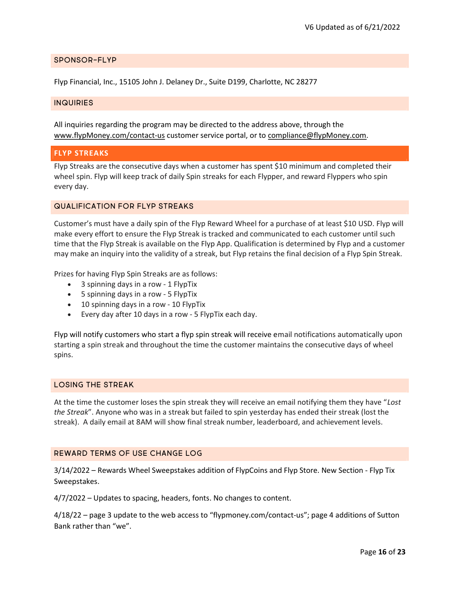## SPONSOR-FLYP

Flyp Financial, Inc., 15105 John J. Delaney Dr., Suite D199, Charlotte, NC 28277

## INQUIRIES

All inquiries regarding the program may be directed to the address above, through the www.flypMoney.com/contact-us customer service portal, or to compliance@flypMoney.com.

## FLYP STREAKS

Flyp Streaks are the consecutive days when a customer has spent \$10 minimum and completed their wheel spin. Flyp will keep track of daily Spin streaks for each Flypper, and reward Flyppers who spin every day.

## QUALIFICATION FOR FLYP STREAKS

Customer's must have a daily spin of the Flyp Reward Wheel for a purchase of at least \$10 USD. Flyp will make every effort to ensure the Flyp Streak is tracked and communicated to each customer until such time that the Flyp Streak is available on the Flyp App. Qualification is determined by Flyp and a customer may make an inquiry into the validity of a streak, but Flyp retains the final decision of a Flyp Spin Streak.

Prizes for having Flyp Spin Streaks are as follows:

- 3 spinning days in a row 1 FlypTix
- 5 spinning days in a row 5 FlypTix
- 10 spinning days in a row 10 FlypTix
- Every day after 10 days in a row 5 FlypTix each day.

Flyp will notify customers who start a flyp spin streak will receive email notifications automatically upon starting a spin streak and throughout the time the customer maintains the consecutive days of wheel spins.

## LOSING THE STREAK

At the time the customer loses the spin streak they will receive an email notifying them they have "Lost the Streak". Anyone who was in a streak but failed to spin yesterday has ended their streak (lost the streak). A daily email at 8AM will show final streak number, leaderboard, and achievement levels.

#### REWARD TERMS OF USE CHANGE LOG

3/14/2022 – Rewards Wheel Sweepstakes addition of FlypCoins and Flyp Store. New Section - Flyp Tix Sweepstakes.

4/7/2022 – Updates to spacing, headers, fonts. No changes to content.

4/18/22 – page 3 update to the web access to "flypmoney.com/contact-us"; page 4 additions of Sutton Bank rather than "we".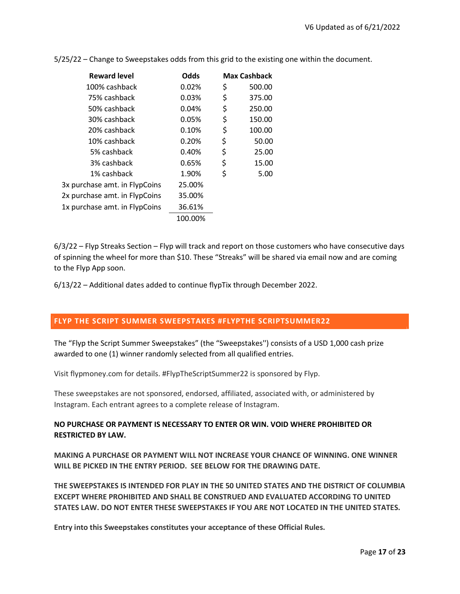| Odds    | <b>Max Cashback</b> |        |
|---------|---------------------|--------|
| 0.02%   | \$                  | 500.00 |
| 0.03%   | \$                  | 375.00 |
| 0.04%   | \$                  | 250.00 |
| 0.05%   | \$                  | 150.00 |
| 0.10%   | \$                  | 100.00 |
| 0.20%   | \$                  | 50.00  |
| 0.40%   | \$                  | 25.00  |
| 0.65%   | \$                  | 15.00  |
| 1.90%   | \$                  | 5.00   |
| 25.00%  |                     |        |
| 35.00%  |                     |        |
| 36.61%  |                     |        |
| 100.00% |                     |        |
|         |                     |        |

5/25/22 – Change to Sweepstakes odds from this grid to the existing one within the document.

6/3/22 – Flyp Streaks Section – Flyp will track and report on those customers who have consecutive days of spinning the wheel for more than \$10. These "Streaks" will be shared via email now and are coming to the Flyp App soon.

6/13/22 – Additional dates added to continue flypTix through December 2022.

## FLYP THE SCRIPT SUMMER SWEEPSTAKES #FLYPTHE SCRIPTSUMMER22

The "Flyp the Script Summer Sweepstakes" (the "Sweepstakes'') consists of a USD 1,000 cash prize awarded to one (1) winner randomly selected from all qualified entries.

Visit flypmoney.com for details. #FlypTheScriptSummer22 is sponsored by Flyp.

These sweepstakes are not sponsored, endorsed, affiliated, associated with, or administered by Instagram. Each entrant agrees to a complete release of Instagram.

# NO PURCHASE OR PAYMENT IS NECESSARY TO ENTER OR WIN. VOID WHERE PROHIBITED OR RESTRICTED BY LAW.

MAKING A PURCHASE OR PAYMENT WILL NOT INCREASE YOUR CHANCE OF WINNING. ONE WINNER WILL BE PICKED IN THE ENTRY PERIOD. SEE BELOW FOR THE DRAWING DATE.

THE SWEEPSTAKES IS INTENDED FOR PLAY IN THE 50 UNITED STATES AND THE DISTRICT OF COLUMBIA EXCEPT WHERE PROHIBITED AND SHALL BE CONSTRUED AND EVALUATED ACCORDING TO UNITED STATES LAW. DO NOT ENTER THESE SWEEPSTAKES IF YOU ARE NOT LOCATED IN THE UNITED STATES.

Entry into this Sweepstakes constitutes your acceptance of these Official Rules.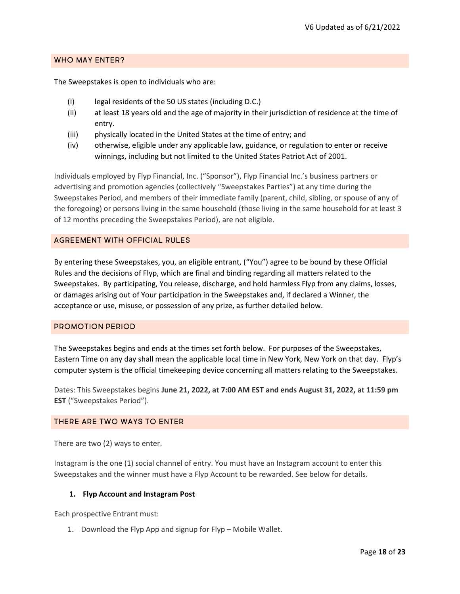## WHO MAY ENTER?

The Sweepstakes is open to individuals who are:

- (i) legal residents of the 50 US states (including D.C.)
- (ii) at least 18 years old and the age of majority in their jurisdiction of residence at the time of entry.
- (iii) physically located in the United States at the time of entry; and
- (iv) otherwise, eligible under any applicable law, guidance, or regulation to enter or receive winnings, including but not limited to the United States Patriot Act of 2001.

Individuals employed by Flyp Financial, Inc. ("Sponsor"), Flyp Financial Inc.'s business partners or advertising and promotion agencies (collectively "Sweepstakes Parties") at any time during the Sweepstakes Period, and members of their immediate family (parent, child, sibling, or spouse of any of the foregoing) or persons living in the same household (those living in the same household for at least 3 of 12 months preceding the Sweepstakes Period), are not eligible.

## AGREEMENT WITH OFFICIAL RULES

By entering these Sweepstakes, you, an eligible entrant, ("You") agree to be bound by these Official Rules and the decisions of Flyp, which are final and binding regarding all matters related to the Sweepstakes. By participating, You release, discharge, and hold harmless Flyp from any claims, losses, or damages arising out of Your participation in the Sweepstakes and, if declared a Winner, the acceptance or use, misuse, or possession of any prize, as further detailed below.

## PROMOTION PERIOD

The Sweepstakes begins and ends at the times set forth below. For purposes of the Sweepstakes, Eastern Time on any day shall mean the applicable local time in New York, New York on that day. Flyp's computer system is the official timekeeping device concerning all matters relating to the Sweepstakes.

Dates: This Sweepstakes begins June 21, 2022, at 7:00 AM EST and ends August 31, 2022, at 11:59 pm EST ("Sweepstakes Period").

#### THERE ARE TWO WAYS TO ENTER

There are two (2) ways to enter.

Instagram is the one (1) social channel of entry. You must have an Instagram account to enter this Sweepstakes and the winner must have a Flyp Account to be rewarded. See below for details.

#### 1. Flyp Account and Instagram Post

Each prospective Entrant must:

1. Download the Flyp App and signup for Flyp – Mobile Wallet.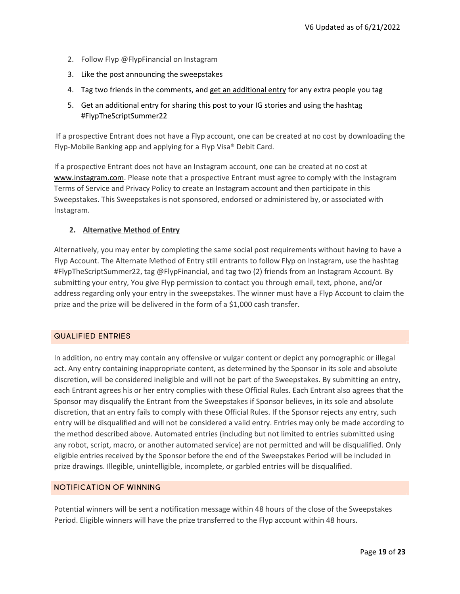- 2. Follow Flyp @FlypFinancial on Instagram
- 3. Like the post announcing the sweepstakes
- 4. Tag two friends in the comments, and get an additional entry for any extra people you tag
- 5. Get an additional entry for sharing this post to your IG stories and using the hashtag #FlypTheScriptSummer22

If a prospective Entrant does not have a Flyp account, one can be created at no cost by downloading the Flyp-Mobile Banking app and applying for a Flyp Visa® Debit Card.

If a prospective Entrant does not have an Instagram account, one can be created at no cost at www.instagram.com. Please note that a prospective Entrant must agree to comply with the Instagram Terms of Service and Privacy Policy to create an Instagram account and then participate in this Sweepstakes. This Sweepstakes is not sponsored, endorsed or administered by, or associated with Instagram.

# 2. Alternative Method of Entry

Alternatively, you may enter by completing the same social post requirements without having to have a Flyp Account. The Alternate Method of Entry still entrants to follow Flyp on Instagram, use the hashtag #FlypTheScriptSummer22, tag @FlypFinancial, and tag two (2) friends from an Instagram Account. By submitting your entry, You give Flyp permission to contact you through email, text, phone, and/or address regarding only your entry in the sweepstakes. The winner must have a Flyp Account to claim the prize and the prize will be delivered in the form of a \$1,000 cash transfer.

## QUALIFIED ENTRIES

In addition, no entry may contain any offensive or vulgar content or depict any pornographic or illegal act. Any entry containing inappropriate content, as determined by the Sponsor in its sole and absolute discretion, will be considered ineligible and will not be part of the Sweepstakes. By submitting an entry, each Entrant agrees his or her entry complies with these Official Rules. Each Entrant also agrees that the Sponsor may disqualify the Entrant from the Sweepstakes if Sponsor believes, in its sole and absolute discretion, that an entry fails to comply with these Official Rules. If the Sponsor rejects any entry, such entry will be disqualified and will not be considered a valid entry. Entries may only be made according to the method described above. Automated entries (including but not limited to entries submitted using any robot, script, macro, or another automated service) are not permitted and will be disqualified. Only eligible entries received by the Sponsor before the end of the Sweepstakes Period will be included in prize drawings. Illegible, unintelligible, incomplete, or garbled entries will be disqualified.

# NOTIFICATION OF WINNING

Potential winners will be sent a notification message within 48 hours of the close of the Sweepstakes Period. Eligible winners will have the prize transferred to the Flyp account within 48 hours.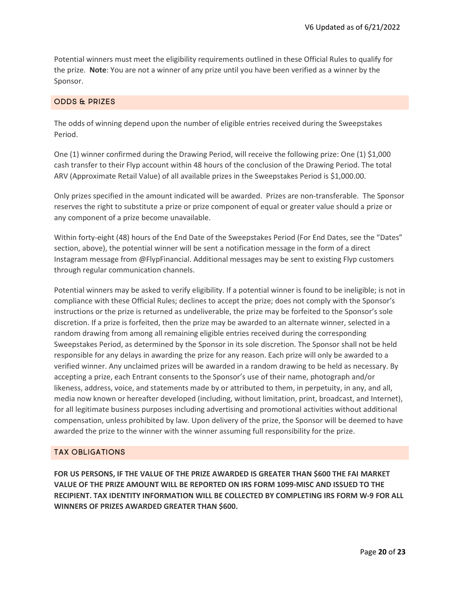Potential winners must meet the eligibility requirements outlined in these Official Rules to qualify for the prize. Note: You are not a winner of any prize until you have been verified as a winner by the Sponsor.

## ODDS & PRIZES

The odds of winning depend upon the number of eligible entries received during the Sweepstakes Period.

One (1) winner confirmed during the Drawing Period, will receive the following prize: One (1) \$1,000 cash transfer to their Flyp account within 48 hours of the conclusion of the Drawing Period. The total ARV (Approximate Retail Value) of all available prizes in the Sweepstakes Period is \$1,000.00.

Only prizes specified in the amount indicated will be awarded. Prizes are non-transferable. The Sponsor reserves the right to substitute a prize or prize component of equal or greater value should a prize or any component of a prize become unavailable.

Within forty-eight (48) hours of the End Date of the Sweepstakes Period (For End Dates, see the "Dates" section, above), the potential winner will be sent a notification message in the form of a direct Instagram message from @FlypFinancial. Additional messages may be sent to existing Flyp customers through regular communication channels.

Potential winners may be asked to verify eligibility. If a potential winner is found to be ineligible; is not in compliance with these Official Rules; declines to accept the prize; does not comply with the Sponsor's instructions or the prize is returned as undeliverable, the prize may be forfeited to the Sponsor's sole discretion. If a prize is forfeited, then the prize may be awarded to an alternate winner, selected in a random drawing from among all remaining eligible entries received during the corresponding Sweepstakes Period, as determined by the Sponsor in its sole discretion. The Sponsor shall not be held responsible for any delays in awarding the prize for any reason. Each prize will only be awarded to a verified winner. Any unclaimed prizes will be awarded in a random drawing to be held as necessary. By accepting a prize, each Entrant consents to the Sponsor's use of their name, photograph and/or likeness, address, voice, and statements made by or attributed to them, in perpetuity, in any, and all, media now known or hereafter developed (including, without limitation, print, broadcast, and Internet), for all legitimate business purposes including advertising and promotional activities without additional compensation, unless prohibited by law. Upon delivery of the prize, the Sponsor will be deemed to have awarded the prize to the winner with the winner assuming full responsibility for the prize.

## TAX OBLIGATIONS

FOR US PERSONS, IF THE VALUE OF THE PRIZE AWARDED IS GREATER THAN \$600 THE FAI MARKET VALUE OF THE PRIZE AMOUNT WILL BE REPORTED ON IRS FORM 1099-MISC AND ISSUED TO THE RECIPIENT. TAX IDENTITY INFORMATION WILL BE COLLECTED BY COMPLETING IRS FORM W-9 FOR ALL WINNERS OF PRIZES AWARDED GREATER THAN \$600.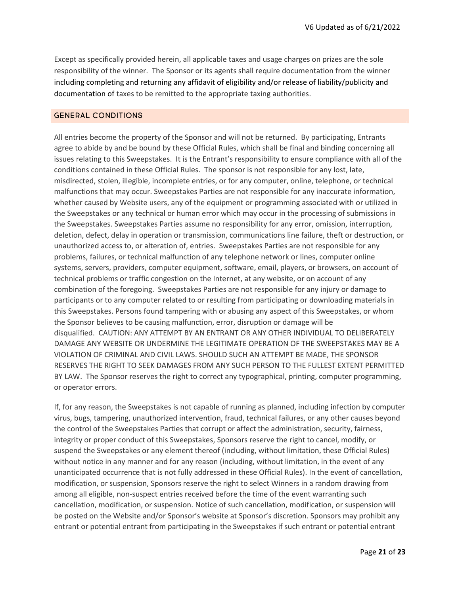Except as specifically provided herein, all applicable taxes and usage charges on prizes are the sole responsibility of the winner. The Sponsor or its agents shall require documentation from the winner including completing and returning any affidavit of eligibility and/or release of liability/publicity and documentation of taxes to be remitted to the appropriate taxing authorities.

## GENERAL CONDITIONS

All entries become the property of the Sponsor and will not be returned. By participating, Entrants agree to abide by and be bound by these Official Rules, which shall be final and binding concerning all issues relating to this Sweepstakes. It is the Entrant's responsibility to ensure compliance with all of the conditions contained in these Official Rules. The sponsor is not responsible for any lost, late, misdirected, stolen, illegible, incomplete entries, or for any computer, online, telephone, or technical malfunctions that may occur. Sweepstakes Parties are not responsible for any inaccurate information, whether caused by Website users, any of the equipment or programming associated with or utilized in the Sweepstakes or any technical or human error which may occur in the processing of submissions in the Sweepstakes. Sweepstakes Parties assume no responsibility for any error, omission, interruption, deletion, defect, delay in operation or transmission, communications line failure, theft or destruction, or unauthorized access to, or alteration of, entries. Sweepstakes Parties are not responsible for any problems, failures, or technical malfunction of any telephone network or lines, computer online systems, servers, providers, computer equipment, software, email, players, or browsers, on account of technical problems or traffic congestion on the Internet, at any website, or on account of any combination of the foregoing. Sweepstakes Parties are not responsible for any injury or damage to participants or to any computer related to or resulting from participating or downloading materials in this Sweepstakes. Persons found tampering with or abusing any aspect of this Sweepstakes, or whom the Sponsor believes to be causing malfunction, error, disruption or damage will be disqualified. CAUTION: ANY ATTEMPT BY AN ENTRANT OR ANY OTHER INDIVIDUAL TO DELIBERATELY DAMAGE ANY WEBSITE OR UNDERMINE THE LEGITIMATE OPERATION OF THE SWEEPSTAKES MAY BE A VIOLATION OF CRIMINAL AND CIVIL LAWS. SHOULD SUCH AN ATTEMPT BE MADE, THE SPONSOR RESERVES THE RIGHT TO SEEK DAMAGES FROM ANY SUCH PERSON TO THE FULLEST EXTENT PERMITTED BY LAW. The Sponsor reserves the right to correct any typographical, printing, computer programming, or operator errors.

If, for any reason, the Sweepstakes is not capable of running as planned, including infection by computer virus, bugs, tampering, unauthorized intervention, fraud, technical failures, or any other causes beyond the control of the Sweepstakes Parties that corrupt or affect the administration, security, fairness, integrity or proper conduct of this Sweepstakes, Sponsors reserve the right to cancel, modify, or suspend the Sweepstakes or any element thereof (including, without limitation, these Official Rules) without notice in any manner and for any reason (including, without limitation, in the event of any unanticipated occurrence that is not fully addressed in these Official Rules). In the event of cancellation, modification, or suspension, Sponsors reserve the right to select Winners in a random drawing from among all eligible, non-suspect entries received before the time of the event warranting such cancellation, modification, or suspension. Notice of such cancellation, modification, or suspension will be posted on the Website and/or Sponsor's website at Sponsor's discretion. Sponsors may prohibit any entrant or potential entrant from participating in the Sweepstakes if such entrant or potential entrant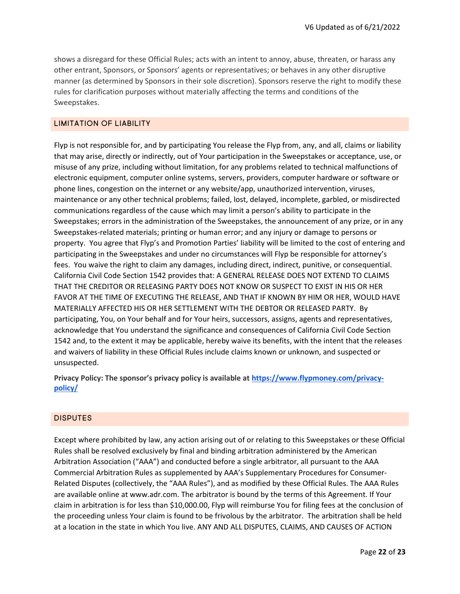shows a disregard for these Official Rules; acts with an intent to annoy, abuse, threaten, or harass any other entrant, Sponsors, or Sponsors' agents or representatives; or behaves in any other disruptive manner (as determined by Sponsors in their sole discretion). Sponsors reserve the right to modify these rules for clarification purposes without materially affecting the terms and conditions of the Sweepstakes.

## LIMITATION OF LIABILITY

Flyp is not responsible for, and by participating You release the Flyp from, any, and all, claims or liability that may arise, directly or indirectly, out of Your participation in the Sweepstakes or acceptance, use, or misuse of any prize, including without limitation, for any problems related to technical malfunctions of electronic equipment, computer online systems, servers, providers, computer hardware or software or phone lines, congestion on the internet or any website/app, unauthorized intervention, viruses, maintenance or any other technical problems; failed, lost, delayed, incomplete, garbled, or misdirected communications regardless of the cause which may limit a person's ability to participate in the Sweepstakes; errors in the administration of the Sweepstakes, the announcement of any prize, or in any Sweepstakes-related materials; printing or human error; and any injury or damage to persons or property. You agree that Flyp's and Promotion Parties' liability will be limited to the cost of entering and participating in the Sweepstakes and under no circumstances will Flyp be responsible for attorney's fees. You waive the right to claim any damages, including direct, indirect, punitive, or consequential. California Civil Code Section 1542 provides that: A GENERAL RELEASE DOES NOT EXTEND TO CLAIMS THAT THE CREDITOR OR RELEASING PARTY DOES NOT KNOW OR SUSPECT TO EXIST IN HIS OR HER FAVOR AT THE TIME OF EXECUTING THE RELEASE, AND THAT IF KNOWN BY HIM OR HER, WOULD HAVE MATERIALLY AFFECTED HIS OR HER SETTLEMENT WITH THE DEBTOR OR RELEASED PARTY. By participating, You, on Your behalf and for Your heirs, successors, assigns, agents and representatives, acknowledge that You understand the significance and consequences of California Civil Code Section 1542 and, to the extent it may be applicable, hereby waive its benefits, with the intent that the releases and waivers of liability in these Official Rules include claims known or unknown, and suspected or unsuspected.

Privacy Policy: The sponsor's privacy policy is available at https://www.flypmoney.com/privacypolicy/

#### DISPUTES

Except where prohibited by law, any action arising out of or relating to this Sweepstakes or these Official Rules shall be resolved exclusively by final and binding arbitration administered by the American Arbitration Association ("AAA") and conducted before a single arbitrator, all pursuant to the AAA Commercial Arbitration Rules as supplemented by AAA's Supplementary Procedures for Consumer-Related Disputes (collectively, the "AAA Rules"), and as modified by these Official Rules. The AAA Rules are available online at www.adr.com. The arbitrator is bound by the terms of this Agreement. If Your claim in arbitration is for less than \$10,000.00, Flyp will reimburse You for filing fees at the conclusion of the proceeding unless Your claim is found to be frivolous by the arbitrator. The arbitration shall be held at a location in the state in which You live. ANY AND ALL DISPUTES, CLAIMS, AND CAUSES OF ACTION